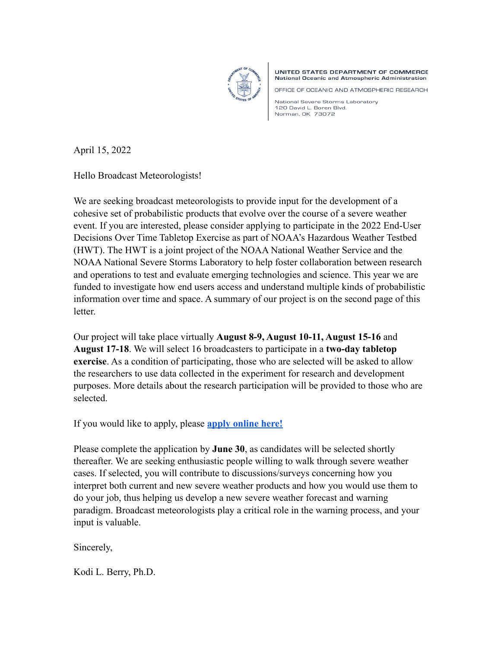

UNITED STATES DEPARTMENT OF COMMERCE National Oceanic and Atmospheric Administration

OFFICE OF OCEANIC AND ATMOSPHERIC RESEARCH

National Severe Storms Laboratory 120 David L. Boren Blvd. Norman, OK 73072

April 15, 2022

Hello Broadcast Meteorologists!

We are seeking broadcast meteorologists to provide input for the development of a cohesive set of probabilistic products that evolve over the course of a severe weather event. If you are interested, please consider applying to participate in the 2022 End-User Decisions Over Time Tabletop Exercise as part of NOAA's Hazardous Weather Testbed (HWT). The HWT is a joint project of the NOAA National Weather Service and the NOAA National Severe Storms Laboratory to help foster collaboration between research and operations to test and evaluate emerging technologies and science. This year we are funded to investigate how end users access and understand multiple kinds of probabilistic information over time and space. A summary of our project is on the second page of this letter.

Our project will take place virtually **August 8-9, August 10-11, August 15-16** and **August 17-18**. We will select 16 broadcasters to participate in a **two-day tabletop exercise**. As a condition of participating, those who are selected will be asked to allow the researchers to use data collected in the experiment for research and development purposes. More details about the research participation will be provided to those who are selected.

If you would like to apply, please **[apply online here!](https://docs.google.com/forms/d/e/1FAIpQLSdY-iZ6DPL293_1R29cJRl85Dl2trsJeO-XJmvoPsrSFE9ZOQ/viewform?usp=sf_link)** 

Please complete the application by **June 30**, as candidates will be selected shortly thereafter. We are seeking enthusiastic people willing to walk through severe weather cases. If selected, you will contribute to discussions/surveys concerning how you interpret both current and new severe weather products and how you would use them to do your job, thus helping us develop a new severe weather forecast and warning paradigm. Broadcast meteorologists play a critical role in the warning process, and your input is valuable.

Sincerely,

Kodi L. Berry, Ph.D.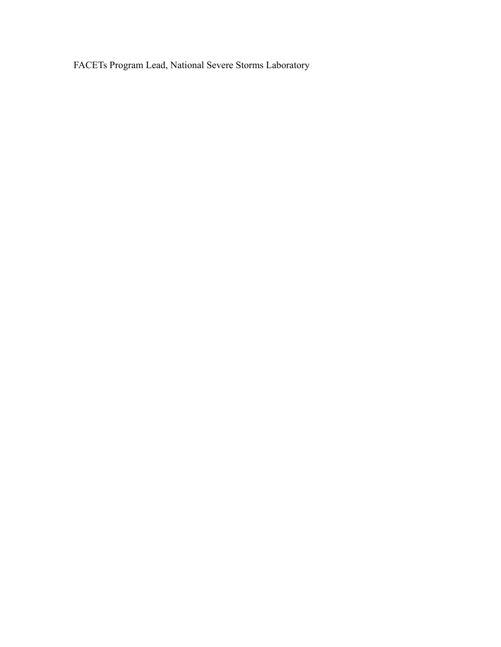FACETs Program Lead, National Severe Storms Laboratory